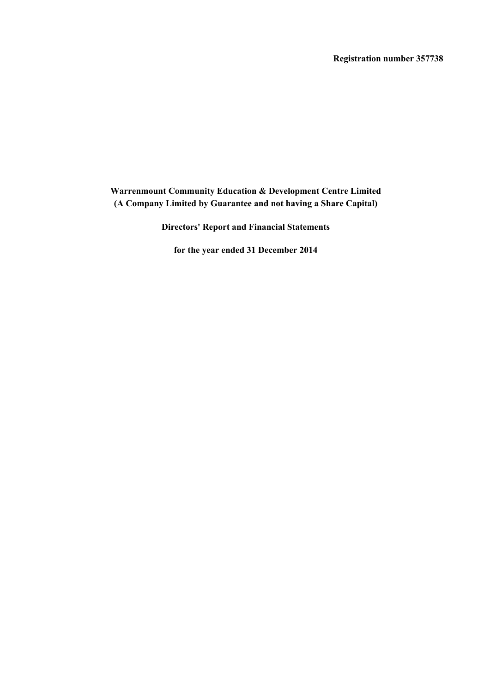**Directors' Report and Financial Statements**

**for the year ended 31 December 2014**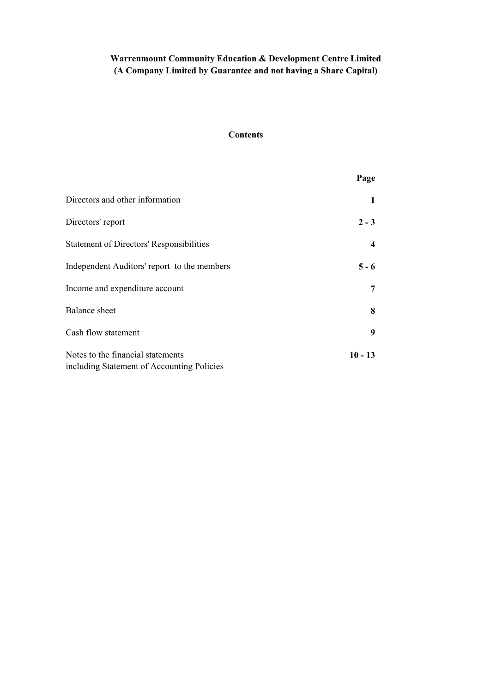## **Contents**

|                                                                                 | Page                    |
|---------------------------------------------------------------------------------|-------------------------|
| Directors and other information                                                 | 1                       |
| Directors' report                                                               | $2 - 3$                 |
| <b>Statement of Directors' Responsibilities</b>                                 | $\overline{\mathbf{4}}$ |
| Independent Auditors' report to the members                                     | $5 - 6$                 |
| Income and expenditure account                                                  | 7                       |
| <b>Balance</b> sheet                                                            | 8                       |
| Cash flow statement                                                             | 9                       |
| Notes to the financial statements<br>including Statement of Accounting Policies | $10 - 13$               |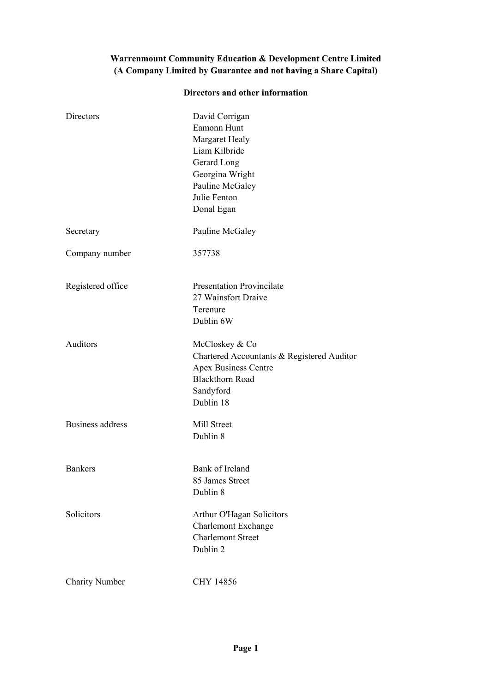#### **Directors and other information**

| Directors               | David Corrigan<br>Eamonn Hunt<br>Margaret Healy<br>Liam Kilbride<br>Gerard Long<br>Georgina Wright<br>Pauline McGaley<br>Julie Fenton<br>Donal Egan |
|-------------------------|-----------------------------------------------------------------------------------------------------------------------------------------------------|
| Secretary               | Pauline McGaley                                                                                                                                     |
| Company number          | 357738                                                                                                                                              |
| Registered office       | <b>Presentation Provincilate</b><br>27 Wainsfort Draive<br>Terenure<br>Dublin 6W                                                                    |
| Auditors                | McCloskey & Co<br>Chartered Accountants & Registered Auditor<br><b>Apex Business Centre</b><br><b>Blackthorn Road</b><br>Sandyford<br>Dublin 18     |
| <b>Business address</b> | Mill Street<br>Dublin 8                                                                                                                             |
| <b>Bankers</b>          | Bank of Ireland<br>85 James Street<br>Dublin 8                                                                                                      |
| Solicitors              | Arthur O'Hagan Solicitors<br><b>Charlemont Exchange</b><br><b>Charlemont Street</b><br>Dublin 2                                                     |
| <b>Charity Number</b>   | CHY 14856                                                                                                                                           |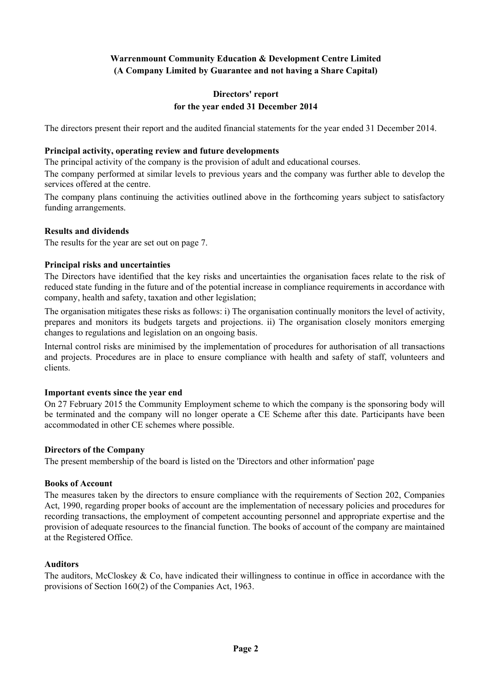## **Directors' report for the year ended 31 December 2014**

The directors present their report and the audited financial statements for the year ended 31 December 2014.

### **Principal activity, operating review and future developments**

The principal activity of the company is the provision of adult and educational courses.

The company performed at similar levels to previous years and the company was further able to develop the services offered at the centre.

The company plans continuing the activities outlined above in the forthcoming years subject to satisfactory funding arrangements.

#### **Results and dividends**

The results for the year are set out on page 7.

#### **Principal risks and uncertainties**

The Directors have identified that the key risks and uncertainties the organisation faces relate to the risk of reduced state funding in the future and of the potential increase in compliance requirements in accordance with company, health and safety, taxation and other legislation;

The organisation mitigates these risks as follows: i) The organisation continually monitors the level of activity, prepares and monitors its budgets targets and projections. ii) The organisation closely monitors emerging changes to regulations and legislation on an ongoing basis.

Internal control risks are minimised by the implementation of procedures for authorisation of all transactions and projects. Procedures are in place to ensure compliance with health and safety of staff, volunteers and clients.

#### **Important events since the year end**

On 27 February 2015 the Community Employment scheme to which the company is the sponsoring body will be terminated and the company will no longer operate a CE Scheme after this date. Participants have been accommodated in other CE schemes where possible.

#### **Directors of the Company**

The present membership of the board is listed on the 'Directors and other information' page

#### **Books of Account**

The measures taken by the directors to ensure compliance with the requirements of Section 202, Companies Act, 1990, regarding proper books of account are the implementation of necessary policies and procedures for recording transactions, the employment of competent accounting personnel and appropriate expertise and the provision of adequate resources to the financial function. The books of account of the company are maintained at the Registered Office.

#### **Auditors**

The auditors, McCloskey & Co, have indicated their willingness to continue in office in accordance with the provisions of Section 160(2) of the Companies Act, 1963.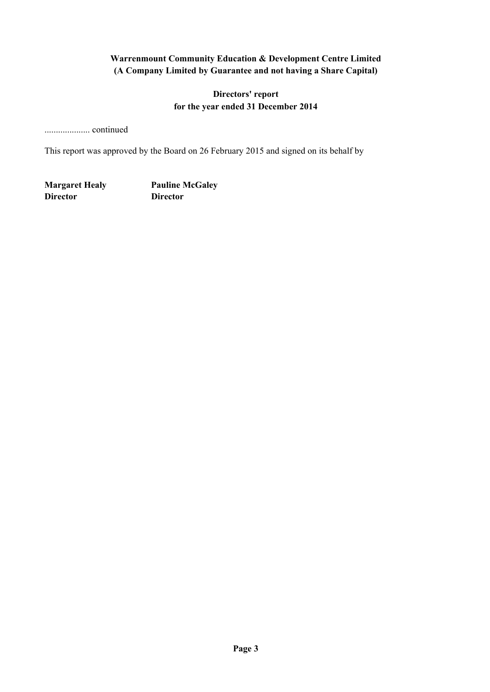## **Directors' report for the year ended 31 December 2014**

.................... continued

This report was approved by the Board on 26 February 2015 and signed on its behalf by

**Margaret Healy Pauline McGaley Director Director**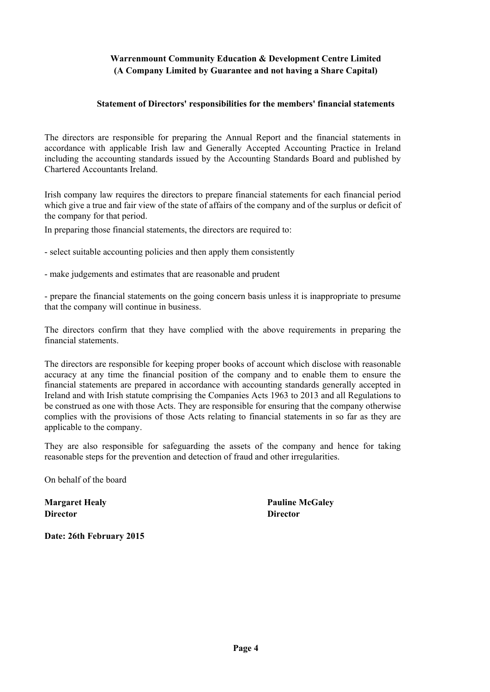### **Statement of Directors' responsibilities for the members' financial statements**

The directors are responsible for preparing the Annual Report and the financial statements in accordance with applicable Irish law and Generally Accepted Accounting Practice in Ireland including the accounting standards issued by the Accounting Standards Board and published by Chartered Accountants Ireland.

Irish company law requires the directors to prepare financial statements for each financial period which give a true and fair view of the state of affairs of the company and of the surplus or deficit of the company for that period.

In preparing those financial statements, the directors are required to:

- select suitable accounting policies and then apply them consistently

- make judgements and estimates that are reasonable and prudent

- prepare the financial statements on the going concern basis unless it is inappropriate to presume that the company will continue in business.

The directors confirm that they have complied with the above requirements in preparing the financial statements.

The directors are responsible for keeping proper books of account which disclose with reasonable accuracy at any time the financial position of the company and to enable them to ensure the financial statements are prepared in accordance with accounting standards generally accepted in Ireland and with Irish statute comprising the Companies Acts 1963 to 2013 and all Regulations to be construed as one with those Acts. They are responsible for ensuring that the company otherwise complies with the provisions of those Acts relating to financial statements in so far as they are applicable to the company.

They are also responsible for safeguarding the assets of the company and hence for taking reasonable steps for the prevention and detection of fraud and other irregularities.

On behalf of the board

**Director Director**

**Margaret Healy Pauline McGaley** 

**Date: 26th February 2015**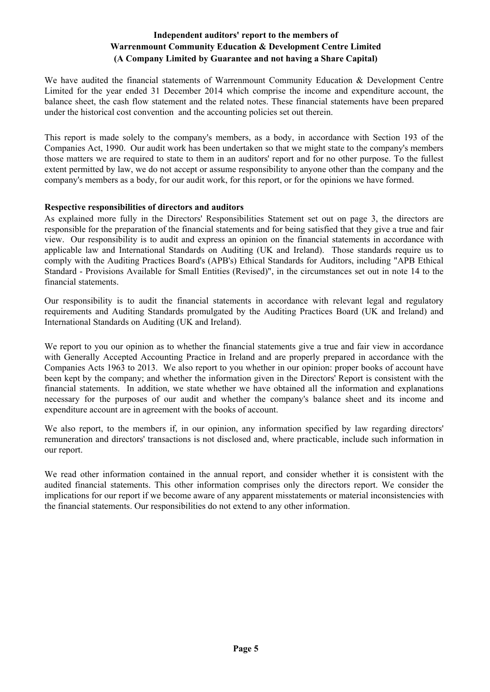## **Independent auditors' report to the members of Warrenmount Community Education & Development Centre Limited (A Company Limited by Guarantee and not having a Share Capital)**

We have audited the financial statements of Warrenmount Community Education & Development Centre Limited for the year ended 31 December 2014 which comprise the income and expenditure account, the balance sheet, the cash flow statement and the related notes. These financial statements have been prepared under the historical cost convention and the accounting policies set out therein.

This report is made solely to the company's members, as a body, in accordance with Section 193 of the Companies Act, 1990. Our audit work has been undertaken so that we might state to the company's members those matters we are required to state to them in an auditors' report and for no other purpose. To the fullest extent permitted by law, we do not accept or assume responsibility to anyone other than the company and the company's members as a body, for our audit work, for this report, or for the opinions we have formed.

#### **Respective responsibilities of directors and auditors**

As explained more fully in the Directors' Responsibilities Statement set out on page 3, the directors are responsible for the preparation of the financial statements and for being satisfied that they give a true and fair view. Our responsibility is to audit and express an opinion on the financial statements in accordance with applicable law and International Standards on Auditing (UK and Ireland). Those standards require us to comply with the Auditing Practices Board's (APB's) Ethical Standards for Auditors, including "APB Ethical Standard - Provisions Available for Small Entities (Revised)", in the circumstances set out in note 14 to the financial statements.

Our responsibility is to audit the financial statements in accordance with relevant legal and regulatory requirements and Auditing Standards promulgated by the Auditing Practices Board (UK and Ireland) and International Standards on Auditing (UK and Ireland).

We report to you our opinion as to whether the financial statements give a true and fair view in accordance with Generally Accepted Accounting Practice in Ireland and are properly prepared in accordance with the Companies Acts 1963 to 2013. We also report to you whether in our opinion: proper books of account have been kept by the company; and whether the information given in the Directors' Report is consistent with the financial statements. In addition, we state whether we have obtained all the information and explanations necessary for the purposes of our audit and whether the company's balance sheet and its income and expenditure account are in agreement with the books of account.

We also report, to the members if, in our opinion, any information specified by law regarding directors' remuneration and directors' transactions is not disclosed and, where practicable, include such information in our report.

We read other information contained in the annual report, and consider whether it is consistent with the audited financial statements. This other information comprises only the directors report. We consider the implications for our report if we become aware of any apparent misstatements or material inconsistencies with the financial statements. Our responsibilities do not extend to any other information.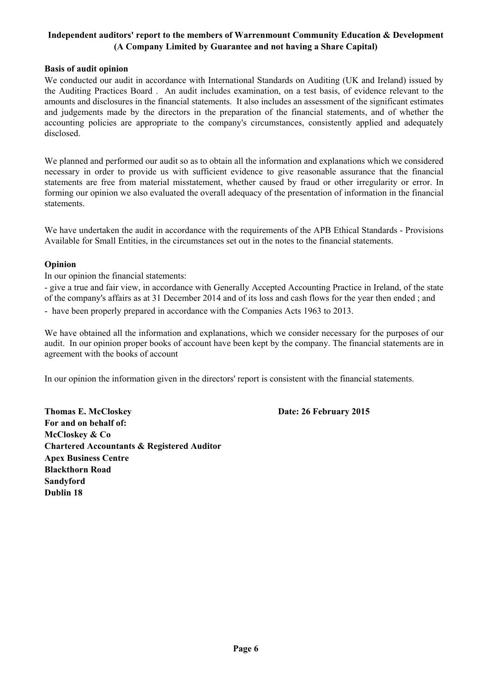# **Independent auditors' report to the members of Warrenmount Community Education & Development (A Company Limited by Guarantee and not having a Share Capital)**

### **Basis of audit opinion**

We conducted our audit in accordance with International Standards on Auditing (UK and Ireland) issued by the Auditing Practices Board . An audit includes examination, on a test basis, of evidence relevant to the amounts and disclosures in the financial statements. It also includes an assessment of the significant estimates and judgements made by the directors in the preparation of the financial statements, and of whether the accounting policies are appropriate to the company's circumstances, consistently applied and adequately disclosed.

We planned and performed our audit so as to obtain all the information and explanations which we considered necessary in order to provide us with sufficient evidence to give reasonable assurance that the financial statements are free from material misstatement, whether caused by fraud or other irregularity or error. In forming our opinion we also evaluated the overall adequacy of the presentation of information in the financial statements.

We have undertaken the audit in accordance with the requirements of the APB Ethical Standards - Provisions Available for Small Entities, in the circumstances set out in the notes to the financial statements.

## **Opinion**

In our opinion the financial statements:

- give a true and fair view, in accordance with Generally Accepted Accounting Practice in Ireland, of the state of the company's affairs as at 31 December 2014 and of its loss and cash flows for the year then ended ; and - have been properly prepared in accordance with the Companies Acts 1963 to 2013.

We have obtained all the information and explanations, which we consider necessary for the purposes of our audit. In our opinion proper books of account have been kept by the company. The financial statements are in agreement with the books of account

In our opinion the information given in the directors' report is consistent with the financial statements.

**Thomas E. McCloskey 2015 Date: 26 February 2015 For and on behalf of: McCloskey & Co Chartered Accountants & Registered Auditor Apex Business Centre Blackthorn Road Sandyford Dublin 18**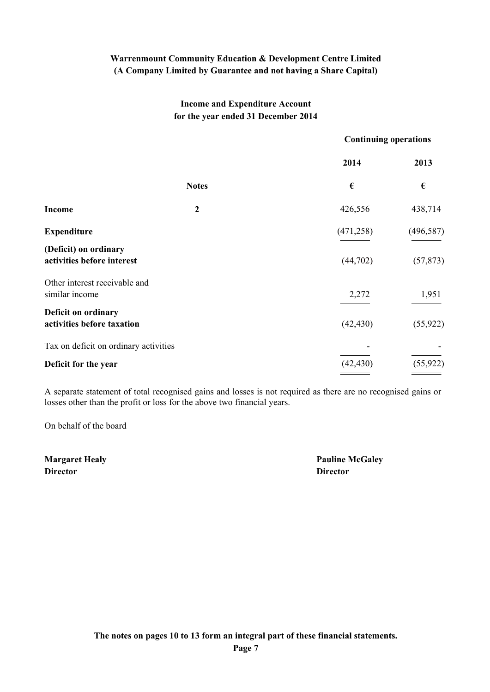## **Income and Expenditure Account for the year ended 31 December 2014**

### **Continuing operations**

|                                                     |                  | 2014       | 2013       |
|-----------------------------------------------------|------------------|------------|------------|
|                                                     | <b>Notes</b>     | €          | €          |
| <b>Income</b>                                       | $\boldsymbol{2}$ | 426,556    | 438,714    |
| <b>Expenditure</b>                                  |                  | (471, 258) | (496, 587) |
| (Deficit) on ordinary<br>activities before interest |                  | (44, 702)  | (57, 873)  |
| Other interest receivable and<br>similar income     |                  | 2,272      | 1,951      |
| Deficit on ordinary<br>activities before taxation   |                  | (42, 430)  | (55, 922)  |
| Tax on deficit on ordinary activities               |                  |            |            |
| Deficit for the year                                |                  | (42, 430)  | (55, 922)  |

A separate statement of total recognised gains and losses is not required as there are no recognised gains or losses other than the profit or loss for the above two financial years.

On behalf of the board

**Director Director**

**Margaret Healy Pauline McGaley**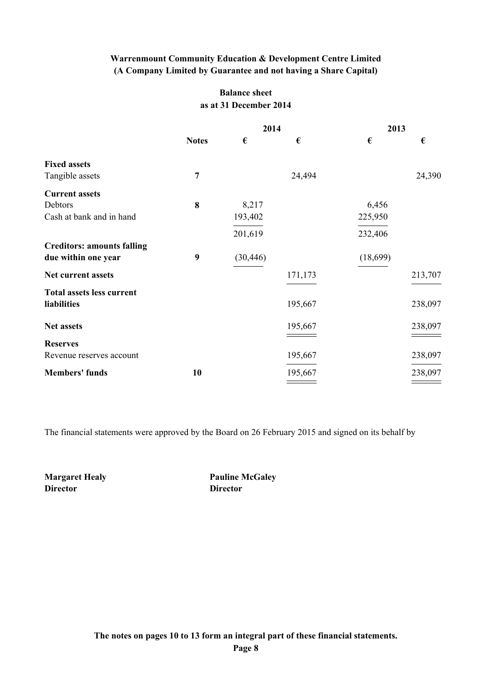## **Balance sheet as at 31 December 2014**

|                                   |                | 2014      |         | 2013     |         |
|-----------------------------------|----------------|-----------|---------|----------|---------|
|                                   | <b>Notes</b>   | €         | €       | €        | €       |
| <b>Fixed assets</b>               |                |           |         |          |         |
| Tangible assets                   | $\overline{7}$ |           | 24,494  |          | 24,390  |
| <b>Current assets</b>             |                |           |         |          |         |
| Debtors                           | 8              | 8,217     |         | 6,456    |         |
| Cash at bank and in hand          |                | 193,402   |         | 225,950  |         |
|                                   |                | 201,619   |         | 232,406  |         |
| <b>Creditors: amounts falling</b> |                |           |         |          |         |
| due within one year               | 9              | (30, 446) |         | (18,699) |         |
| Net current assets                |                |           | 171,173 |          | 213,707 |
| <b>Total assets less current</b>  |                |           |         |          |         |
| liabilities                       |                |           | 195,667 |          | 238,097 |
| <b>Net assets</b>                 |                |           | 195,667 |          | 238,097 |
| <b>Reserves</b>                   |                |           |         |          |         |
| Revenue reserves account          |                |           | 195,667 |          | 238,097 |
| <b>Members' funds</b>             | 10             |           | 195,667 |          | 238,097 |

The financial statements were approved by the Board on 26 February 2015 and signed on its behalf by

**Director Director**

**Margaret Healy Pauline McGaley**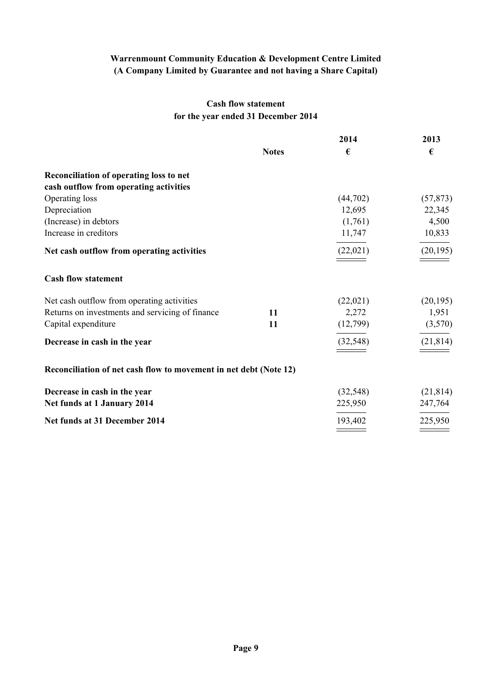## **Cash flow statement for the year ended 31 December 2014**

|                                                                   |              | 2014      | 2013      |
|-------------------------------------------------------------------|--------------|-----------|-----------|
|                                                                   | <b>Notes</b> | €         | €         |
| Reconciliation of operating loss to net                           |              |           |           |
| cash outflow from operating activities                            |              |           |           |
| Operating loss                                                    |              | (44,702)  | (57, 873) |
| Depreciation                                                      |              | 12,695    | 22,345    |
| (Increase) in debtors                                             |              | (1,761)   | 4,500     |
| Increase in creditors                                             |              | 11,747    | 10,833    |
| Net cash outflow from operating activities                        |              | (22,021)  | (20, 195) |
| <b>Cash flow statement</b>                                        |              |           |           |
| Net cash outflow from operating activities                        |              | (22,021)  | (20, 195) |
| Returns on investments and servicing of finance                   | 11           | 2,272     | 1,951     |
| Capital expenditure                                               | 11           | (12,799)  | (3,570)   |
| Decrease in cash in the year                                      |              | (32, 548) | (21, 814) |
| Reconciliation of net cash flow to movement in net debt (Note 12) |              |           |           |
| Decrease in cash in the year                                      |              | (32, 548) | (21, 814) |
| Net funds at 1 January 2014                                       |              | 225,950   | 247,764   |
| Net funds at 31 December 2014                                     |              | 193,402   | 225,950   |
|                                                                   |              |           |           |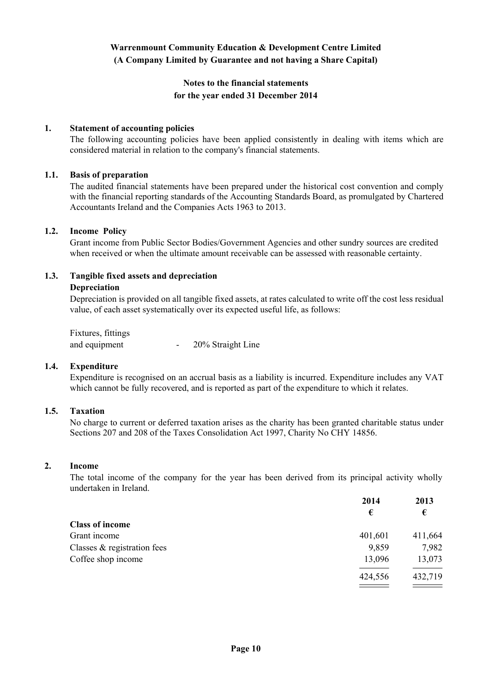## **Notes to the financial statements for the year ended 31 December 2014**

### **1. Statement of accounting policies**

The following accounting policies have been applied consistently in dealing with items which are considered material in relation to the company's financial statements.

### **1.1. Basis of preparation**

The audited financial statements have been prepared under the historical cost convention and comply with the financial reporting standards of the Accounting Standards Board, as promulgated by Chartered Accountants Ireland and the Companies Acts 1963 to 2013.

### **1.2. Income Policy**

Grant income from Public Sector Bodies/Government Agencies and other sundry sources are credited when received or when the ultimate amount receivable can be assessed with reasonable certainty.

## **1.3. Tangible fixed assets and depreciation**

#### **Depreciation**

Depreciation is provided on all tangible fixed assets, at rates calculated to write off the cost less residual value, of each asset systematically over its expected useful life, as follows:

Fixtures, fittings and equipment - 20% Straight Line

### **1.4. Expenditure**

Expenditure is recognised on an accrual basis as a liability is incurred. Expenditure includes any VAT which cannot be fully recovered, and is reported as part of the expenditure to which it relates.

## **1.5. Taxation**

No charge to current or deferred taxation arises as the charity has been granted charitable status under Sections 207 and 208 of the Taxes Consolidation Act 1997, Charity No CHY 14856.

### **2. Income**

The total income of the company for the year has been derived from its principal activity wholly undertaken in Ireland.

|                             | 2014    | 2013    |
|-----------------------------|---------|---------|
|                             | €       | €       |
| <b>Class of income</b>      |         |         |
| Grant income                | 401,601 | 411,664 |
| Classes & registration fees | 9,859   | 7,982   |
| Coffee shop income          | 13,096  | 13,073  |
|                             | 424,556 | 432,719 |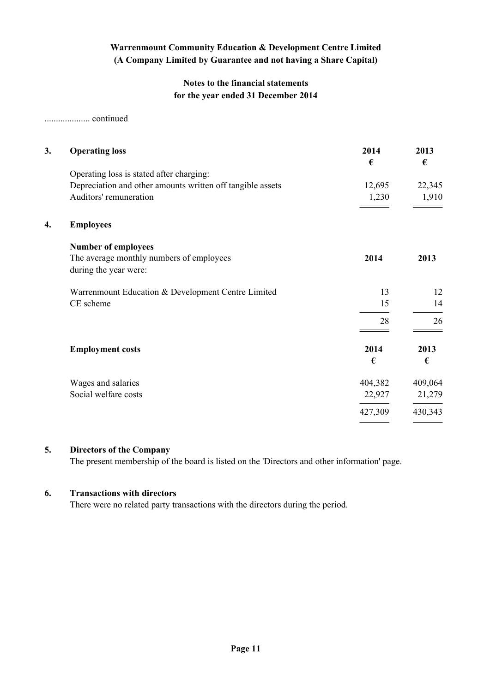## **Notes to the financial statements for the year ended 31 December 2014**

.................... continued

| 3. | <b>Operating loss</b>                                      | 2014<br>€ | 2013<br>€ |
|----|------------------------------------------------------------|-----------|-----------|
|    | Operating loss is stated after charging:                   |           |           |
|    | Depreciation and other amounts written off tangible assets | 12,695    | 22,345    |
|    | Auditors' remuneration                                     | 1,230     | 1,910     |
| 4. | <b>Employees</b>                                           |           |           |
|    | <b>Number of employees</b>                                 |           |           |
|    | The average monthly numbers of employees                   | 2014      | 2013      |
|    | during the year were:                                      |           |           |
|    | Warrenmount Education & Development Centre Limited         | 13        | 12        |
|    | CE scheme                                                  | 15        | 14        |
|    |                                                            | 28        | 26        |
|    | <b>Employment costs</b>                                    | 2014      | 2013      |
|    |                                                            | €         | €         |
|    | Wages and salaries                                         | 404,382   | 409,064   |
|    | Social welfare costs                                       | 22,927    | 21,279    |
|    |                                                            | 427,309   | 430,343   |
|    |                                                            |           |           |

## **5. Directors of the Company**

The present membership of the board is listed on the 'Directors and other information' page.

### **6. Transactions with directors**

There were no related party transactions with the directors during the period.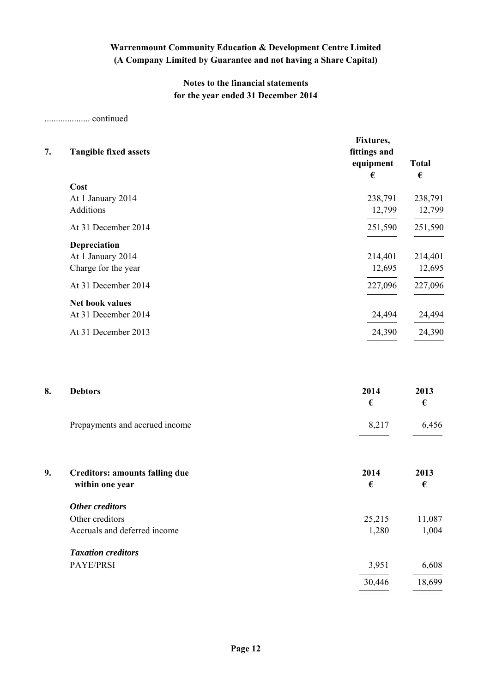**Notes to the financial statements for the year ended 31 December 2014**

.................... continued

| equipment | <b>Total</b><br>€ |
|-----------|-------------------|
|           |                   |
| 238,791   | 238,791           |
| 12,799    | 12,799            |
| 251,590   | 251,590           |
|           |                   |
| 214,401   | 214,401           |
| 12,695    | 12,695            |
| 227,096   | 227,096           |
|           |                   |
| 24,494    | 24,494            |
| 24,390    | 24,390            |
|           | fittings and<br>€ |

| 8. | <b>Debtors</b>                                           | 2014<br>€ | 2013<br>€ |
|----|----------------------------------------------------------|-----------|-----------|
|    | Prepayments and accrued income                           | 8,217     | 6,456     |
| 9. | <b>Creditors: amounts falling due</b><br>within one year | 2014<br>€ | 2013<br>€ |
|    | Other creditors                                          |           |           |
|    | Other creditors                                          | 25,215    | 11,087    |
|    | Accruals and deferred income                             | 1,280     | 1,004     |
|    | <b>Taxation creditors</b>                                |           |           |
|    | PAYE/PRSI                                                | 3,951     | 6,608     |
|    |                                                          | 30,446    | 18,699    |
|    |                                                          |           |           |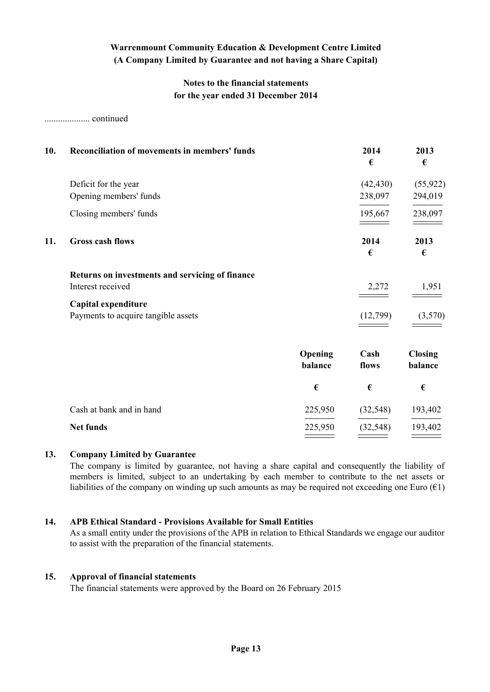**Notes to the financial statements for the year ended 31 December 2014**

.................... continued

| 10. | Reconciliation of movements in members' funds                        |                    | 2014<br>€            | 2013<br>€                 |
|-----|----------------------------------------------------------------------|--------------------|----------------------|---------------------------|
|     | Deficit for the year<br>Opening members' funds                       |                    | (42, 430)<br>238,097 | (55, 922)<br>294,019      |
|     | Closing members' funds                                               |                    | 195,667              | 238,097                   |
| 11. | <b>Gross cash flows</b>                                              |                    | 2014<br>€            | 2013<br>€                 |
|     | Returns on investments and servicing of finance<br>Interest received |                    | 2,272                | 1,951                     |
|     | Capital expenditure<br>Payments to acquire tangible assets           |                    | (12,799)             | (3,570)                   |
|     |                                                                      | Opening<br>balance | Cash<br>flows        | <b>Closing</b><br>balance |
|     |                                                                      | €                  | €                    | €                         |
|     | Cash at bank and in hand                                             | 225,950            | (32, 548)            | 193,402                   |
|     | Net funds                                                            | 225,950            | (32, 548)            | 193,402                   |

### **13. Company Limited by Guarantee**

The company is limited by guarantee, not having a share capital and consequently the liability of members is limited, subject to an undertaking by each member to contribute to the net assets or liabilities of the company on winding up such amounts as may be required not exceeding one Euro  $(61)$ 

### **14. APB Ethical Standard - Provisions Available for Small Entities**

As a small entity under the provisions of the APB in relation to Ethical Standards we engage our auditor to assist with the preparation of the financial statements.

### **15. Approval of financial statements**

The financial statements were approved by the Board on 26 February 2015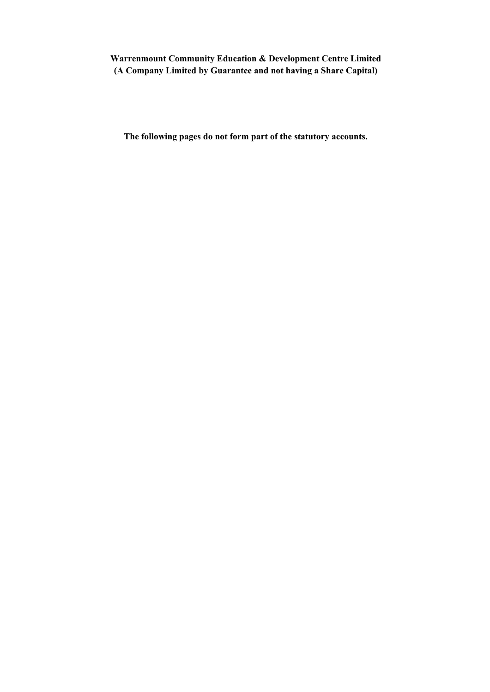**The following pages do not form part of the statutory accounts.**